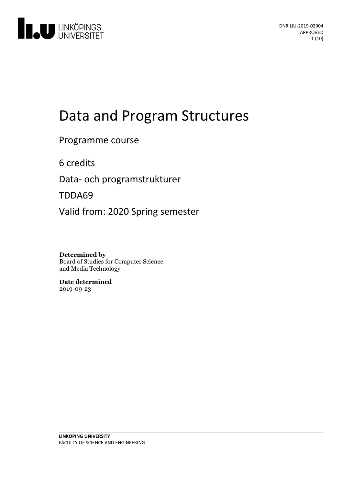

# Data and Program Structures

### Programme course

6 credits

Data- och programstrukturer

TDDA69

Valid from: 2020 Spring semester

**Determined by** Board of Studies for Computer Science and Media Technology

**Date determined** 2019-09-23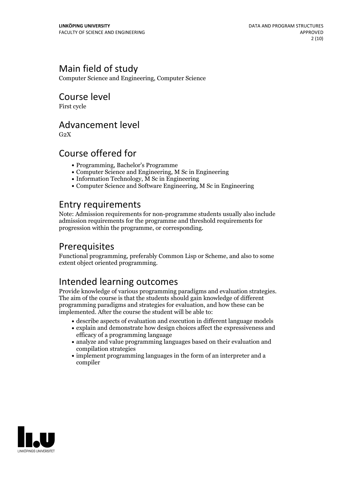# Main field of study

Computer Science and Engineering, Computer Science

### Course level

First cycle

### Advancement level

 $G<sub>2</sub>X$ 

# Course offered for

- Programming, Bachelor's Programme
- Computer Science and Engineering, M Sc in Engineering
- Information Technology, M Sc in Engineering
- Computer Science and Software Engineering, M Sc in Engineering

# Entry requirements

Note: Admission requirements for non-programme students usually also include admission requirements for the programme and threshold requirements for progression within the programme, or corresponding.

# Prerequisites

Functional programming, preferably Common Lisp or Scheme, and also to some extent object oriented programming.

# Intended learning outcomes

Provide knowledge of various programming paradigms and evaluation strategies. The aim of the course is that the students should gain knowledge of different programming paradigms and strategies for evaluation, and how these can be implemented. After the course the student will be able to:

- describe aspects of evaluation and execution in different language models
- explain and demonstrate how design choices affect the expressiveness and efficacy of a programming language
- analyze and value programming languages based on their evaluation and compilation strategies
- implement programming languages in the form of an interpreter and a compiler

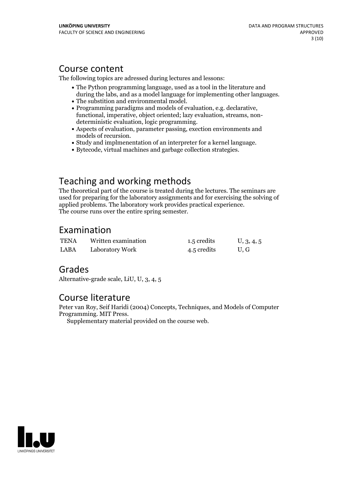## Course content

The following topics are adressed during lectures and lessons:

- The Python programming language, used as a tool in the literature and
- 
- during the labs, and as a model language for implementing other languages.<br>
 The substition and environmental model.<br>
 Programming paradigms and models of evaluation, e.g. declarative,<br>
functional, imperative, object ori
- 
- Study and implmenentation of an interpreter for a kernel language.<br>• Bytecode, virtual machines and garbage collection strategies.
- 

# Teaching and working methods

The theoretical part of the course is treated during the lectures. The seminars are used for preparing for the laboratory assignments and for exercising the solving of applied problems. The laboratory work provides practical experience. The course runs over the entire spring semester.

## Examination

| <b>TENA</b> | Written examination | 1.5 credits | U, 3, 4, 5 |
|-------------|---------------------|-------------|------------|
| LABA        | Laboratory Work     | 4.5 credits | U.G        |

## Grades

Alternative-grade scale, LiU, U, 3, 4, 5

## Course literature

Peter van Roy, Seif Haridi (2004) Concepts, Techniques, and Models of Computer Programming. MIT Press. Supplementary material provided on the course web.

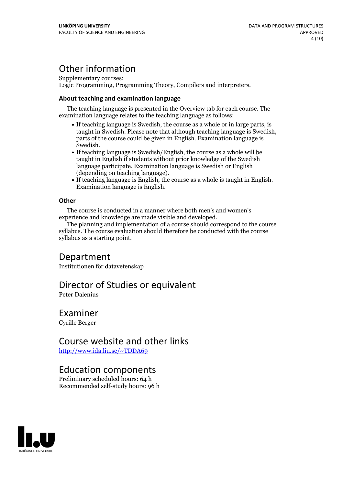# Other information

Supplementary courses: Logic Programming, Programming Theory, Compilers and interpreters.

#### **About teaching and examination language**

The teaching language is presented in the Overview tab for each course. The examination language relates to the teaching language as follows:

- If teaching language is Swedish, the course as a whole or in large parts, is taught in Swedish. Please note that although teaching language is Swedish, parts of the course could be given in English. Examination language is Swedish.<br>• If teaching language is Swedish/English, the course as a whole will be
- taught in English if students without prior knowledge of the Swedish language participate. Examination language is Swedish or English
- $\bullet$  If teaching language is English, the course as a whole is taught in English. Examination language is English.

#### **Other**

The course is conducted in a manner where both men's and women's

The planning and implementation of a course should correspond to the course syllabus. The course evaluation should therefore be conducted with the course syllabus as a starting point.

### Department

Institutionen för datavetenskap

### Director of Studies or equivalent

Peter Dalenius

### Examiner

Cyrille Berger

### Course website and other links

<http://www.ida.liu.se/~TDDA69>

### Education components

Preliminary scheduled hours: 64 h Recommended self-study hours: 96 h

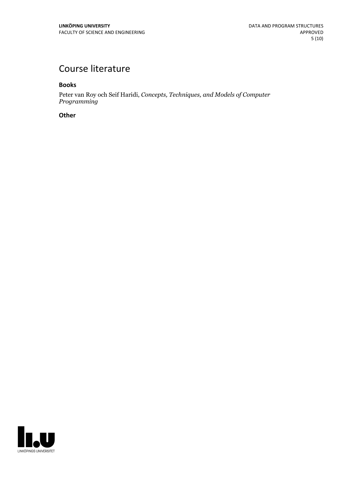# Course literature

**Books**

Peter van Roy och SeifHaridi, *Concepts, Techniques, and Models of Computer Programming*

**Other**

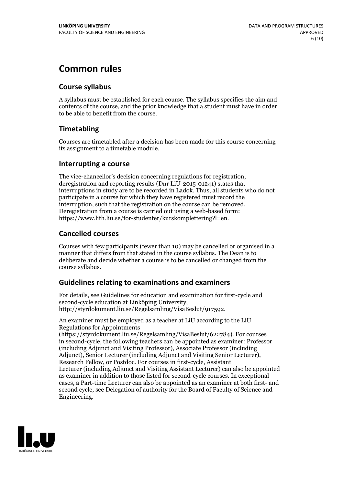# **Common rules**

#### **Course syllabus**

A syllabus must be established for each course. The syllabus specifies the aim and contents of the course, and the prior knowledge that a student must have in order to be able to benefit from the course.

#### **Timetabling**

Courses are timetabled after a decision has been made for this course concerning its assignment to a timetable module.

#### **Interrupting a course**

The vice-chancellor's decision concerning regulations for registration, deregistration and reporting results (Dnr LiU-2015-01241) states that interruptions in study are to be recorded in Ladok. Thus, all students who do not participate in a course for which they have registered must record the interruption, such that the registration on the course can be removed. Deregistration from <sup>a</sup> course is carried outusing <sup>a</sup> web-based form: https://www.lith.liu.se/for-studenter/kurskomplettering?l=en.

#### **Cancelled courses**

Courses with few participants (fewer than 10) may be cancelled or organised in a manner that differs from that stated in the course syllabus. The Dean is to deliberate and decide whether a course is to be cancelled or changed from the course syllabus.

#### **Guidelines relatingto examinations and examiners**

For details, see Guidelines for education and examination for first-cycle and second-cycle education at Linköping University, http://styrdokument.liu.se/Regelsamling/VisaBeslut/917592.

An examiner must be employed as a teacher at LiU according to the LiU Regulations for Appointments

(https://styrdokument.liu.se/Regelsamling/VisaBeslut/622784). For courses in second-cycle, the following teachers can be appointed as examiner: Professor (including Adjunct and Visiting Professor), Associate Professor (including Adjunct), Senior Lecturer (including Adjunct and Visiting Senior Lecturer), Research Fellow, or Postdoc. For courses in first-cycle, Assistant Lecturer (including Adjunct and Visiting Assistant Lecturer) can also be appointed as examiner in addition to those listed for second-cycle courses. In exceptional cases, a Part-time Lecturer can also be appointed as an examiner at both first- and second cycle, see Delegation of authority for the Board of Faculty of Science and Engineering.

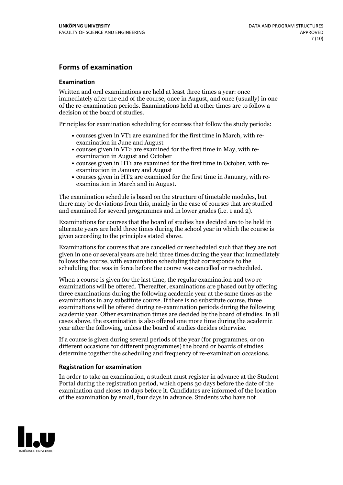#### **Forms of examination**

#### **Examination**

Written and oral examinations are held at least three times a year: once immediately after the end of the course, once in August, and once (usually) in one of the re-examination periods. Examinations held at other times are to follow a decision of the board of studies.

Principles for examination scheduling for courses that follow the study periods:

- courses given in VT1 are examined for the first time in March, with re-examination in June and August
- courses given in VT2 are examined for the first time in May, with re-examination in August and October
- courses given in HT1 are examined for the first time in October, with re-examination in January and August
- courses given in HT2 are examined for the first time in January, with re-examination in March and in August.

The examination schedule is based on the structure of timetable modules, but there may be deviations from this, mainly in the case of courses that are studied and examined for several programmes and in lower grades (i.e. 1 and 2).

Examinations for courses that the board of studies has decided are to be held in alternate years are held three times during the school year in which the course is given according to the principles stated above.

Examinations for courses that are cancelled orrescheduled such that they are not given in one or several years are held three times during the year that immediately follows the course, with examination scheduling that corresponds to the scheduling that was in force before the course was cancelled or rescheduled.

When a course is given for the last time, the regular examination and two re-<br>examinations will be offered. Thereafter, examinations are phased out by offering three examinations during the following academic year at the same times as the examinations in any substitute course. If there is no substitute course, three examinations will be offered during re-examination periods during the following academic year. Other examination times are decided by the board of studies. In all cases above, the examination is also offered one more time during the academic year after the following, unless the board of studies decides otherwise.

If a course is given during several periods of the year (for programmes, or on different occasions for different programmes) the board or boards of studies determine together the scheduling and frequency of re-examination occasions.

#### **Registration for examination**

In order to take an examination, a student must register in advance at the Student Portal during the registration period, which opens 30 days before the date of the examination and closes 10 days before it. Candidates are informed of the location of the examination by email, four days in advance. Students who have not

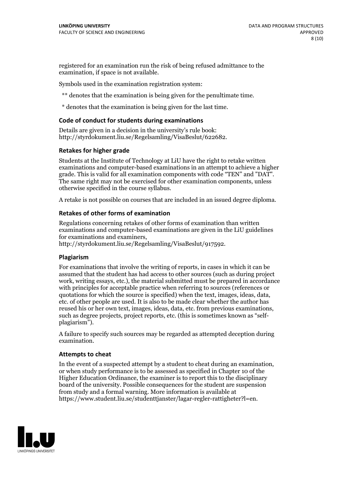registered for an examination run the risk of being refused admittance to the examination, if space is not available.

Symbols used in the examination registration system:

\*\* denotes that the examination is being given for the penultimate time.

\* denotes that the examination is being given for the last time.

#### **Code of conduct for students during examinations**

Details are given in a decision in the university's rule book: http://styrdokument.liu.se/Regelsamling/VisaBeslut/622682.

#### **Retakes for higher grade**

Students at the Institute of Technology at LiU have the right to retake written examinations and computer-based examinations in an attempt to achieve a higher grade. This is valid for all examination components with code "TEN" and "DAT". The same right may not be exercised for other examination components, unless otherwise specified in the course syllabus.

A retake is not possible on courses that are included in an issued degree diploma.

#### **Retakes of other forms of examination**

Regulations concerning retakes of other forms of examination than written examinations and computer-based examinations are given in the LiU guidelines

http://styrdokument.liu.se/Regelsamling/VisaBeslut/917592.

#### **Plagiarism**

For examinations that involve the writing of reports, in cases in which it can be assumed that the student has had access to other sources (such as during project work, writing essays, etc.), the material submitted must be prepared in accordance with principles for acceptable practice when referring to sources (references or quotations for which the source is specified) when the text, images, ideas, data,  $\vec{e}$  etc. of other people are used. It is also to be made clear whether the author has reused his or her own text, images, ideas, data, etc. from previous examinations, such as degree projects, project reports, etc. (this is sometimes known as "self- plagiarism").

A failure to specify such sources may be regarded as attempted deception during examination.

#### **Attempts to cheat**

In the event of <sup>a</sup> suspected attempt by <sup>a</sup> student to cheat during an examination, or when study performance is to be assessed as specified in Chapter <sup>10</sup> of the Higher Education Ordinance, the examiner is to report this to the disciplinary board of the university. Possible consequences for the student are suspension from study and a formal warning. More information is available at https://www.student.liu.se/studenttjanster/lagar-regler-rattigheter?l=en.

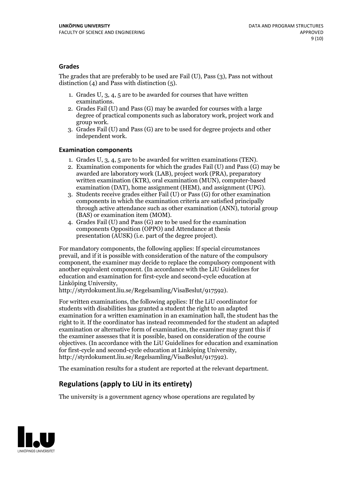#### **Grades**

The grades that are preferably to be used are Fail (U), Pass (3), Pass not without distinction  $(4)$  and Pass with distinction  $(5)$ .

- 1. Grades U, 3, 4, 5 are to be awarded for courses that have written
- examinations. 2. Grades Fail (U) and Pass (G) may be awarded for courses with <sup>a</sup> large degree of practical components such as laboratory work, project work and group work. 3. Grades Fail (U) and Pass (G) are to be used for degree projects and other
- independent work.

#### **Examination components**

- 
- 1. Grades U, 3, 4, <sup>5</sup> are to be awarded for written examinations (TEN). 2. Examination components for which the grades Fail (U) and Pass (G) may be awarded are laboratory work (LAB), project work (PRA), preparatory written examination (KTR), oral examination (MUN), computer-based
- examination (DAT), home assignment (HEM), and assignment (UPG). 3. Students receive grades either Fail (U) or Pass (G) for other examination components in which the examination criteria are satisfied principally through active attendance such as other examination (ANN), tutorial group
- (BAS) or examination item (MOM). 4. Grades Fail (U) and Pass (G) are to be used for the examination components Opposition (OPPO) and Attendance at thesis presentation (AUSK) (i.e. part of the degree project).

For mandatory components, the following applies: If special circumstances prevail, and if it is possible with consideration of the nature of the compulsory component, the examiner may decide to replace the compulsory component with another equivalent component. (In accordance with the LiU Guidelines for education and examination for first-cycle and second-cycle education at Linköping University, http://styrdokument.liu.se/Regelsamling/VisaBeslut/917592).

For written examinations, the following applies: If the LiU coordinator for students with disabilities has granted a student the right to an adapted examination for a written examination in an examination hall, the student has the right to it. If the coordinator has instead recommended for the student an adapted examination or alternative form of examination, the examiner may grant this if the examiner assesses that it is possible, based on consideration of the course objectives. (In accordance with the LiU Guidelines for education and examination for first-cycle and second-cycle education at Linköping University, http://styrdokument.liu.se/Regelsamling/VisaBeslut/917592).

The examination results for a student are reported at the relevant department.

#### **Regulations (applyto LiU in its entirety)**

The university is a government agency whose operations are regulated by